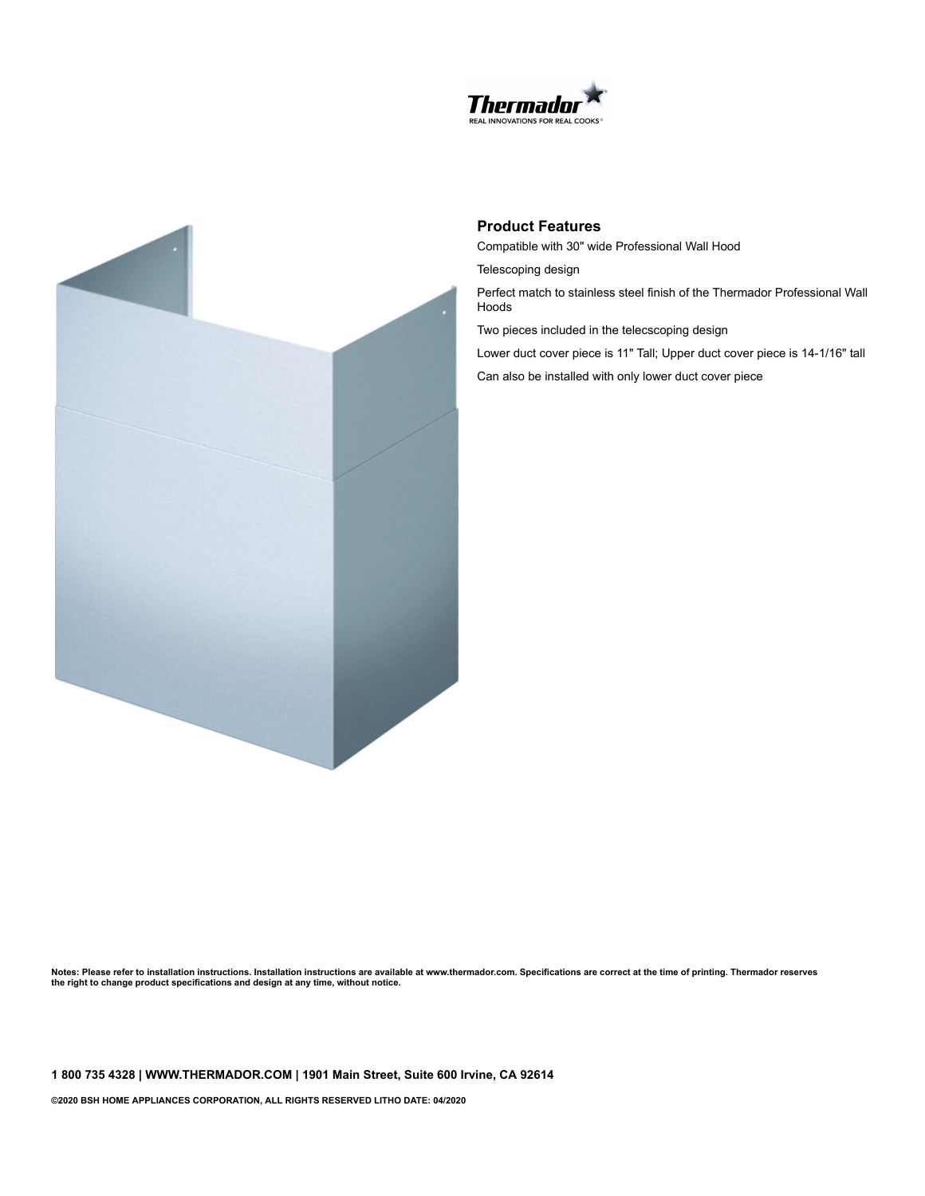



## **Product Features**

Compatible with 30" wide Professional Wall Hood

Telescoping design

Perfect match to stainless steel finish of the Thermador Professional Wall Hoods

Two pieces included in the telecscoping design

Lower duct cover piece is 11" Tall; Upper duct cover piece is 14-1/16" tall Can also be installed with only lower duct cover piece

Notes: Please refer to installation instructions. Installation instructions are available at www.thermador.com. Specifications are correct at the time of printing. Thermador reserves **the right to change product specifications and design at any time, without notice.**

**1 800 735 4328 | WWW.THERMADOR.COM | 1901 Main Street, Suite 600 Irvine, CA 92614**

**©2020 BSH HOME APPLIANCES CORPORATION, ALL RIGHTS RESERVED LITHO DATE: 04/2020**